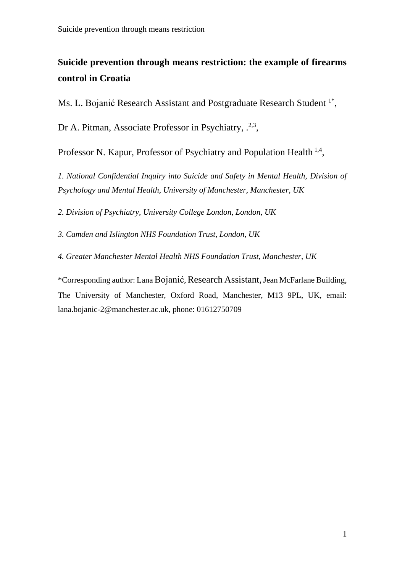# **Suicide prevention through means restriction: the example of firearms control in Croatia**

Ms. L. Bojanić Research Assistant and Postgraduate Research Student<sup>1\*</sup>,

Dr A. Pitman, Associate Professor in Psychiatry, .<sup>2,3</sup>,

Professor N. Kapur, Professor of Psychiatry and Population Health<sup>1,4</sup>,

*1. National Confidential Inquiry into Suicide and Safety in Mental Health, Division of Psychology and Mental Health, University of Manchester, Manchester, UK*

*2. Division of Psychiatry, University College London, London, UK*

*3. Camden and Islington NHS Foundation Trust, London, UK*

*4. Greater Manchester Mental Health NHS Foundation Trust, Manchester, UK*

\*Corresponding author: Lana Bojanić, Research Assistant,Jean McFarlane Building, The University of Manchester, Oxford Road, Manchester, M13 9PL, UK, email: lana.bojanic-2@manchester.ac.uk, phone: 01612750709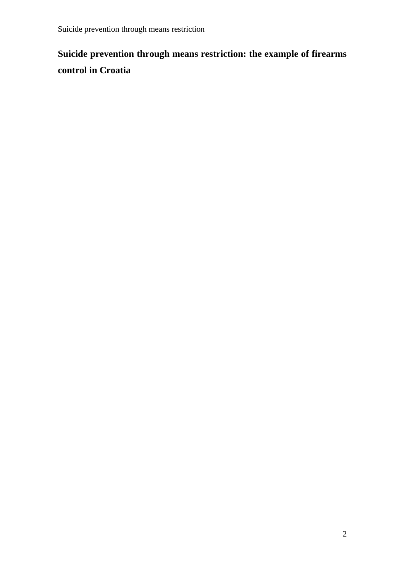# **Suicide prevention through means restriction: the example of firearms control in Croatia**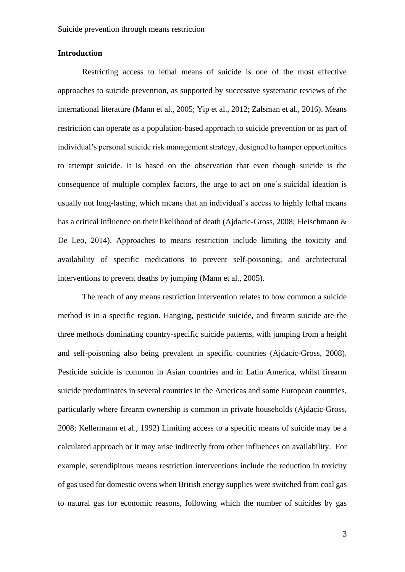#### **Introduction**

Restricting access to lethal means of suicide is one of the most effective approaches to suicide prevention, as supported by successive systematic reviews of the international literature (Mann et al., 2005; Yip et al., 2012; Zalsman et al., 2016). Means restriction can operate as a population-based approach to suicide prevention or as part of individual's personal suicide risk management strategy, designed to hamper opportunities to attempt suicide. It is based on the observation that even though suicide is the consequence of multiple complex factors, the urge to act on one's suicidal ideation is usually not long-lasting, which means that an individual's access to highly lethal means has a critical influence on their likelihood of death (Ajdacic-Gross, 2008; Fleischmann & De Leo, 2014). Approaches to means restriction include limiting the toxicity and availability of specific medications to prevent self-poisoning, and architectural interventions to prevent deaths by jumping (Mann et al., 2005).

The reach of any means restriction intervention relates to how common a suicide method is in a specific region. Hanging, pesticide suicide, and firearm suicide are the three methods dominating country-specific suicide patterns, with jumping from a height and self-poisoning also being prevalent in specific countries (Ajdacic-Gross, 2008). Pesticide suicide is common in Asian countries and in Latin America, whilst firearm suicide predominates in several countries in the Americas and some European countries, particularly where firearm ownership is common in private households (Ajdacic-Gross, 2008; Kellermann et al., 1992) Limiting access to a specific means of suicide may be a calculated approach or it may arise indirectly from other influences on availability. For example, serendipitous means restriction interventions include the reduction in toxicity of gas used for domestic ovens when British energy supplies were switched from coal gas to natural gas for economic reasons, following which the number of suicides by gas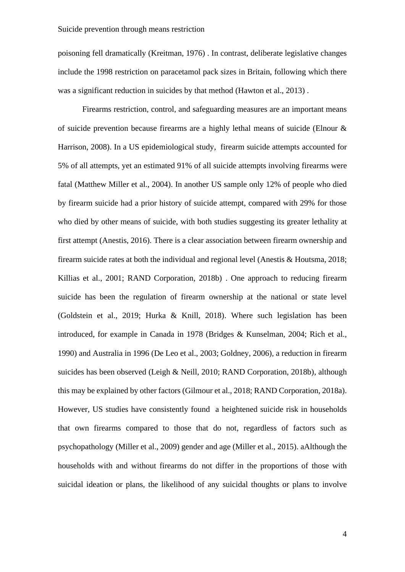poisoning fell dramatically (Kreitman, 1976) . In contrast, deliberate legislative changes include the 1998 restriction on paracetamol pack sizes in Britain, following which there was a significant reduction in suicides by that method (Hawton et al., 2013) .

Firearms restriction, control, and safeguarding measures are an important means of suicide prevention because firearms are a highly lethal means of suicide (Elnour & Harrison, 2008). In a US epidemiological study, firearm suicide attempts accounted for 5% of all attempts, yet an estimated 91% of all suicide attempts involving firearms were fatal (Matthew Miller et al., 2004). In another US sample only 12% of people who died by firearm suicide had a prior history of suicide attempt, compared with 29% for those who died by other means of suicide, with both studies suggesting its greater lethality at first attempt (Anestis, 2016). There is a clear association between firearm ownership and firearm suicide rates at both the individual and regional level (Anestis & Houtsma, 2018; Killias et al., 2001; RAND Corporation, 2018b) . One approach to reducing firearm suicide has been the regulation of firearm ownership at the national or state level (Goldstein et al., 2019; Hurka & Knill, 2018). Where such legislation has been introduced, for example in Canada in 1978 (Bridges & Kunselman, 2004; Rich et al., 1990) and Australia in 1996 (De Leo et al., 2003; Goldney, 2006), a reduction in firearm suicides has been observed (Leigh & Neill, 2010; RAND Corporation, 2018b), although this may be explained by other factors (Gilmour et al., 2018; RAND Corporation, 2018a). However, US studies have consistently found a heightened suicide risk in households that own firearms compared to those that do not, regardless of factors such as psychopathology (Miller et al., 2009) gender and age (Miller et al., 2015). aAlthough the households with and without firearms do not differ in the proportions of those with suicidal ideation or plans, the likelihood of any suicidal thoughts or plans to involve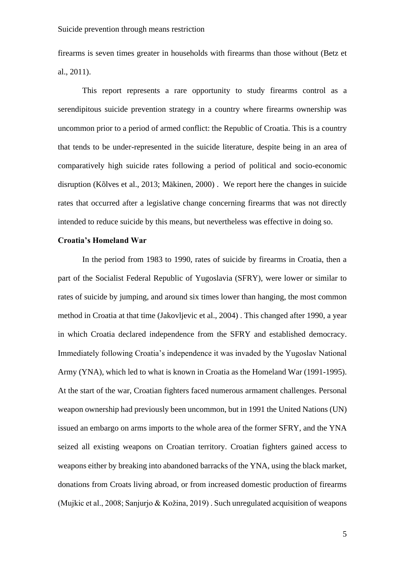firearms is seven times greater in households with firearms than those without (Betz et al., 2011).

This report represents a rare opportunity to study firearms control as a serendipitous suicide prevention strategy in a country where firearms ownership was uncommon prior to a period of armed conflict: the Republic of Croatia. This is a country that tends to be under-represented in the suicide literature, despite being in an area of comparatively high suicide rates following a period of political and socio-economic disruption (Kõlves et al., 2013; Mäkinen, 2000) . We report here the changes in suicide rates that occurred after a legislative change concerning firearms that was not directly intended to reduce suicide by this means, but nevertheless was effective in doing so.

#### **Croatia's Homeland War**

In the period from 1983 to 1990, rates of suicide by firearms in Croatia, then a part of the Socialist Federal Republic of Yugoslavia (SFRY), were lower or similar to rates of suicide by jumping, and around six times lower than hanging, the most common method in Croatia at that time (Jakovljevic et al., 2004) . This changed after 1990, a year in which Croatia declared independence from the SFRY and established democracy. Immediately following Croatia's independence it was invaded by the Yugoslav National Army (YNA), which led to what is known in Croatia as the Homeland War (1991-1995). At the start of the war, Croatian fighters faced numerous armament challenges. Personal weapon ownership had previously been uncommon, but in 1991 the United Nations (UN) issued an embargo on arms imports to the whole area of the former SFRY, and the YNA seized all existing weapons on Croatian territory. Croatian fighters gained access to weapons either by breaking into abandoned barracks of the YNA, using the black market, donations from Croats living abroad, or from increased domestic production of firearms (Mujkic et al., 2008; Sanjurjo & Kožina, 2019) . Such unregulated acquisition of weapons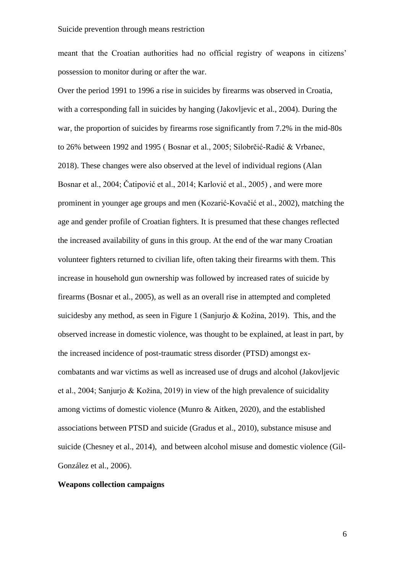meant that the Croatian authorities had no official registry of weapons in citizens' possession to monitor during or after the war.

Over the period 1991 to 1996 a rise in suicides by firearms was observed in Croatia, with a corresponding fall in suicides by hanging (Jakovljevic et al., 2004). During the war, the proportion of suicides by firearms rose significantly from 7.2% in the mid-80s to 26% between 1992 and 1995 ( Bosnar et al., 2005; Silobrčić-Radić & Vrbanec, 2018). These changes were also observed at the level of individual regions (Alan Bosnar et al., 2004; Čatipović et al., 2014; Karlović et al., 2005) , and were more prominent in younger age groups and men (Kozarić-Kovačić et al., 2002), matching the age and gender profile of Croatian fighters. It is presumed that these changes reflected the increased availability of guns in this group. At the end of the war many Croatian volunteer fighters returned to civilian life, often taking their firearms with them. This increase in household gun ownership was followed by increased rates of suicide by firearms (Bosnar et al., 2005), as well as an overall rise in attempted and completed suicidesby any method, as seen in Figure 1 (Sanjurjo & Kožina, 2019). This, and the observed increase in domestic violence, was thought to be explained, at least in part, by the increased incidence of post-traumatic stress disorder (PTSD) amongst excombatants and war victims as well as increased use of drugs and alcohol (Jakovljevic et al., 2004; Sanjurjo & Kožina, 2019) in view of the high prevalence of suicidality among victims of domestic violence (Munro & Aitken, 2020), and the established associations between PTSD and suicide (Gradus et al., 2010), substance misuse and suicide (Chesney et al., 2014), and between alcohol misuse and domestic violence (Gil-González et al., 2006).

## **Weapons collection campaigns**

6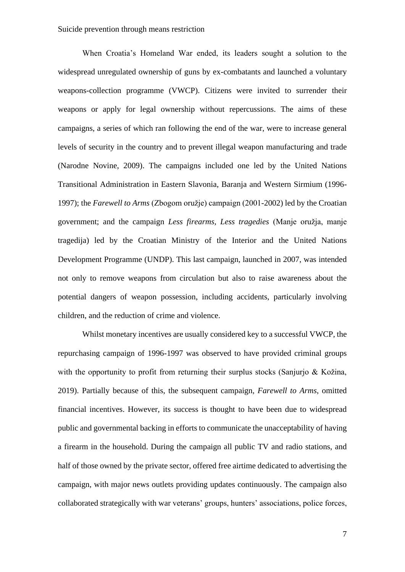When Croatia's Homeland War ended, its leaders sought a solution to the widespread unregulated ownership of guns by ex-combatants and launched a voluntary weapons-collection programme (VWCP). Citizens were invited to surrender their weapons or apply for legal ownership without repercussions. The aims of these campaigns, a series of which ran following the end of the war, were to increase general levels of security in the country and to prevent illegal weapon manufacturing and trade (Narodne Novine, 2009). The campaigns included one led by the United Nations Transitional Administration in Eastern Slavonia, Baranja and Western Sirmium (1996- 1997); the *Farewell to Arms* (Zbogom oružje) campaign (2001-2002) led by the Croatian government; and the campaign *Less firearms, Less tragedies* (Manje oružja, manje tragedija) led by the Croatian Ministry of the Interior and the United Nations Development Programme (UNDP). This last campaign, launched in 2007, was intended not only to remove weapons from circulation but also to raise awareness about the potential dangers of weapon possession, including accidents, particularly involving children, and the reduction of crime and violence.

Whilst monetary incentives are usually considered key to a successful VWCP, the repurchasing campaign of 1996-1997 was observed to have provided criminal groups with the opportunity to profit from returning their surplus stocks (Sanjurio  $&$  Kožina, 2019). Partially because of this, the subsequent campaign, *Farewell to Arms*, omitted financial incentives. However, its success is thought to have been due to widespread public and governmental backing in efforts to communicate the unacceptability of having a firearm in the household. During the campaign all public TV and radio stations, and half of those owned by the private sector, offered free airtime dedicated to advertising the campaign, with major news outlets providing updates continuously. The campaign also collaborated strategically with war veterans' groups, hunters' associations, police forces,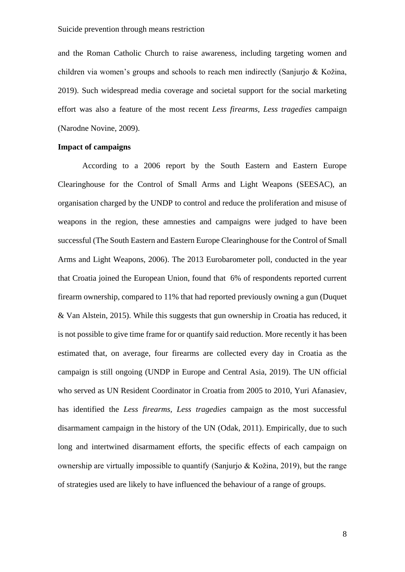and the Roman Catholic Church to raise awareness, including targeting women and children via women's groups and schools to reach men indirectly (Sanjurjo & Kožina, 2019). Such widespread media coverage and societal support for the social marketing effort was also a feature of the most recent *Less firearms, Less tragedies* campaign (Narodne Novine, 2009).

#### **Impact of campaigns**

According to a 2006 report by the South Eastern and Eastern Europe Clearinghouse for the Control of Small Arms and Light Weapons (SEESAC), an organisation charged by the UNDP to control and reduce the proliferation and misuse of weapons in the region, these amnesties and campaigns were judged to have been successful (The South Eastern and Eastern Europe Clearinghouse for the Control of Small Arms and Light Weapons, 2006). The 2013 Eurobarometer poll, conducted in the year that Croatia joined the European Union, found that 6% of respondents reported current firearm ownership, compared to 11% that had reported previously owning a gun (Duquet & Van Alstein, 2015). While this suggests that gun ownership in Croatia has reduced, it is not possible to give time frame for or quantify said reduction. More recently it has been estimated that, on average, four firearms are collected every day in Croatia as the campaign is still ongoing (UNDP in Europe and Central Asia, 2019). The UN official who served as UN Resident Coordinator in Croatia from 2005 to 2010, Yuri Afanasiev, has identified the *Less firearms, Less tragedies* campaign as the most successful disarmament campaign in the history of the UN (Odak, 2011). Empirically, due to such long and intertwined disarmament efforts, the specific effects of each campaign on ownership are virtually impossible to quantify (Sanjurjo & Kožina, 2019), but the range of strategies used are likely to have influenced the behaviour of a range of groups.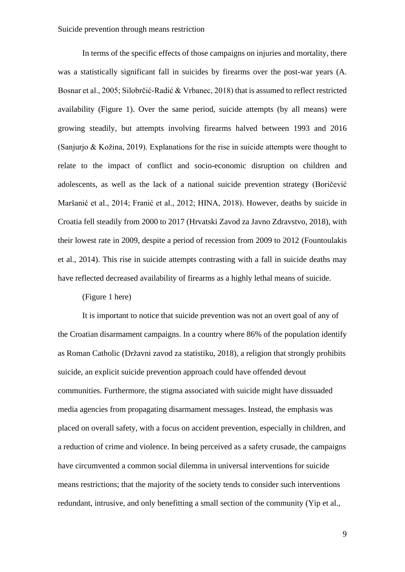In terms of the specific effects of those campaigns on injuries and mortality, there was a statistically significant fall in suicides by firearms over the post-war years (A. Bosnar et al., 2005; Silobrčić-Radić & Vrbanec, 2018) that is assumed to reflect restricted availability (Figure 1). Over the same period, suicide attempts (by all means) were growing steadily, but attempts involving firearms halved between 1993 and 2016 (Sanjurjo & Kožina, 2019). Explanations for the rise in suicide attempts were thought to relate to the impact of conflict and socio-economic disruption on children and adolescents, as well as the lack of a national suicide prevention strategy (Boričević Maršanić et al., 2014; Franić et al., 2012; HINA, 2018). However, deaths by suicide in Croatia fell steadily from 2000 to 2017 (Hrvatski Zavod za Javno Zdravstvo, 2018), with their lowest rate in 2009, despite a period of recession from 2009 to 2012 (Fountoulakis et al., 2014). This rise in suicide attempts contrasting with a fall in suicide deaths may have reflected decreased availability of firearms as a highly lethal means of suicide.

## (Figure 1 here)

It is important to notice that suicide prevention was not an overt goal of any of the Croatian disarmament campaigns. In a country where 86% of the population identify as Roman Catholic (Državni zavod za statistiku, 2018), a religion that strongly prohibits suicide, an explicit suicide prevention approach could have offended devout communities. Furthermore, the stigma associated with suicide might have dissuaded media agencies from propagating disarmament messages. Instead, the emphasis was placed on overall safety, with a focus on accident prevention, especially in children, and a reduction of crime and violence. In being perceived as a safety crusade, the campaigns have circumvented a common social dilemma in universal interventions for suicide means restrictions; that the majority of the society tends to consider such interventions redundant, intrusive, and only benefitting a small section of the community (Yip et al.,

9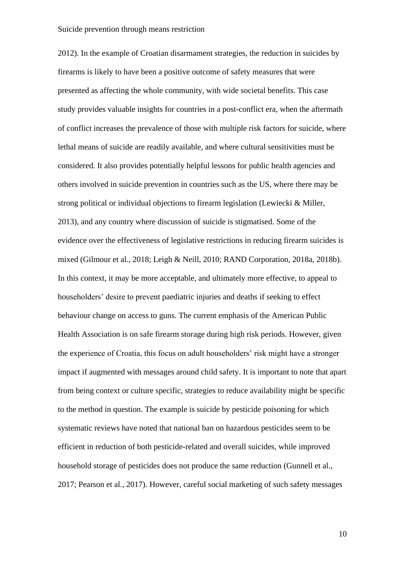2012). In the example of Croatian disarmament strategies, the reduction in suicides by firearms is likely to have been a positive outcome of safety measures that were presented as affecting the whole community, with wide societal benefits. This case study provides valuable insights for countries in a post-conflict era, when the aftermath of conflict increases the prevalence of those with multiple risk factors for suicide, where lethal means of suicide are readily available, and where cultural sensitivities must be considered. It also provides potentially helpful lessons for public health agencies and others involved in suicide prevention in countries such as the US, where there may be strong political or individual objections to firearm legislation (Lewiecki & Miller, 2013), and any country where discussion of suicide is stigmatised. Some of the evidence over the effectiveness of legislative restrictions in reducing firearm suicides is mixed (Gilmour et al., 2018; Leigh & Neill, 2010; RAND Corporation, 2018a, 2018b). In this context, it may be more acceptable, and ultimately more effective, to appeal to householders' desire to prevent paediatric injuries and deaths if seeking to effect behaviour change on access to guns. The current emphasis of the American Public Health Association is on safe firearm storage during high risk periods. However, given the experience of Croatia, this focus on adult householders' risk might have a stronger impact if augmented with messages around child safety. It is important to note that apart from being context or culture specific, strategies to reduce availability might be specific to the method in question. The example is suicide by pesticide poisoning for which systematic reviews have noted that national ban on hazardous pesticides seem to be efficient in reduction of both pesticide-related and overall suicides, while improved household storage of pesticides does not produce the same reduction (Gunnell et al., 2017; Pearson et al., 2017). However, careful social marketing of such safety messages

10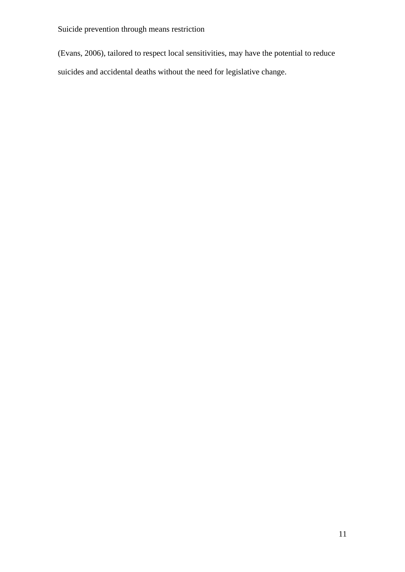Suicide prevention through means restriction

(Evans, 2006), tailored to respect local sensitivities, may have the potential to reduce suicides and accidental deaths without the need for legislative change.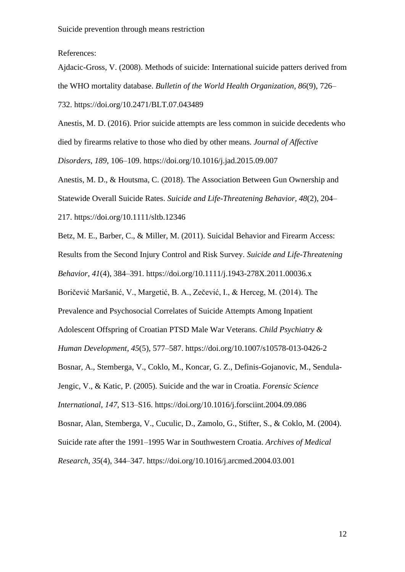References:

Ajdacic-Gross, V. (2008). Methods of suicide: International suicide patters derived from the WHO mortality database. *Bulletin of the World Health Organization*, *86*(9), 726–

732. https://doi.org/10.2471/BLT.07.043489

Anestis, M. D. (2016). Prior suicide attempts are less common in suicide decedents who died by firearms relative to those who died by other means. *Journal of Affective Disorders*, *189*, 106–109. https://doi.org/10.1016/j.jad.2015.09.007

Anestis, M. D., & Houtsma, C. (2018). The Association Between Gun Ownership and Statewide Overall Suicide Rates. *Suicide and Life-Threatening Behavior*, *48*(2), 204– 217. https://doi.org/10.1111/sltb.12346

Betz, M. E., Barber, C., & Miller, M. (2011). Suicidal Behavior and Firearm Access: Results from the Second Injury Control and Risk Survey. *Suicide and Life-Threatening* 

*Behavior*, *41*(4), 384–391. https://doi.org/10.1111/j.1943-278X.2011.00036.x

Boričević Maršanić, V., Margetić, B. A., Zečević, I., & Herceg, M. (2014). The

Prevalence and Psychosocial Correlates of Suicide Attempts Among Inpatient

Adolescent Offspring of Croatian PTSD Male War Veterans. *Child Psychiatry &* 

*Human Development*, *45*(5), 577–587. https://doi.org/10.1007/s10578-013-0426-2

Bosnar, A., Stemberga, V., Coklo, M., Koncar, G. Z., Definis-Gojanovic, M., Sendula-

Jengic, V., & Katic, P. (2005). Suicide and the war in Croatia. *Forensic Science* 

*International*, *147*, S13–S16. https://doi.org/10.1016/j.forsciint.2004.09.086

Bosnar, Alan, Stemberga, V., Cuculic, D., Zamolo, G., Stifter, S., & Coklo, M. (2004).

Suicide rate after the 1991–1995 War in Southwestern Croatia. *Archives of Medical* 

*Research*, *35*(4), 344–347. https://doi.org/10.1016/j.arcmed.2004.03.001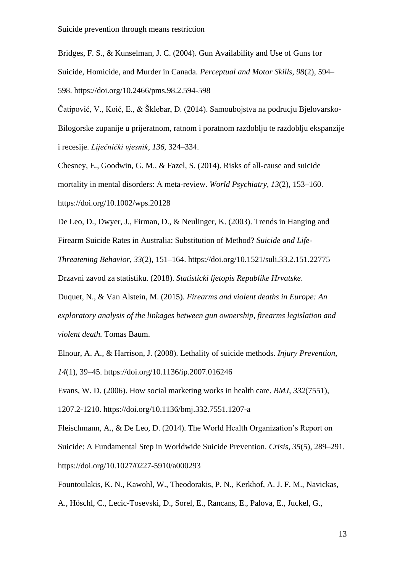Bridges, F. S., & Kunselman, J. C. (2004). Gun Availability and Use of Guns for Suicide, Homicide, and Murder in Canada. *Perceptual and Motor Skills*, *98*(2), 594– 598. https://doi.org/10.2466/pms.98.2.594-598

Čatipović, V., Koić, E., & Šklebar, D. (2014). Samoubojstva na podrucju Bjelovarsko-Bilogorske zupanije u prijeratnom, ratnom i poratnom razdoblju te razdoblju ekspanzije i recesije. *Liječnički vjesnik*, *136*, 324–334.

Chesney, E., Goodwin, G. M., & Fazel, S. (2014). Risks of all-cause and suicide mortality in mental disorders: A meta-review. *World Psychiatry*, *13*(2), 153–160. https://doi.org/10.1002/wps.20128

De Leo, D., Dwyer, J., Firman, D., & Neulinger, K. (2003). Trends in Hanging and Firearm Suicide Rates in Australia: Substitution of Method? *Suicide and Life-*

*Threatening Behavior*, *33*(2), 151–164. https://doi.org/10.1521/suli.33.2.151.22775 Drzavni zavod za statistiku. (2018). *Statisticki ljetopis Republike Hrvatske*.

Duquet, N., & Van Alstein, M. (2015). *Firearms and violent deaths in Europe: An exploratory analysis of the linkages between gun ownership, firearms legislation and violent death.* Tomas Baum.

Elnour, A. A., & Harrison, J. (2008). Lethality of suicide methods. *Injury Prevention*, *14*(1), 39–45. https://doi.org/10.1136/ip.2007.016246

Evans, W. D. (2006). How social marketing works in health care. *BMJ*, *332*(7551),

1207.2-1210. https://doi.org/10.1136/bmj.332.7551.1207-a

Fleischmann, A., & De Leo, D. (2014). The World Health Organization's Report on Suicide: A Fundamental Step in Worldwide Suicide Prevention. *Crisis*, *35*(5), 289–291. https://doi.org/10.1027/0227-5910/a000293

Fountoulakis, K. N., Kawohl, W., Theodorakis, P. N., Kerkhof, A. J. F. M., Navickas,

A., Höschl, C., Lecic-Tosevski, D., Sorel, E., Rancans, E., Palova, E., Juckel, G.,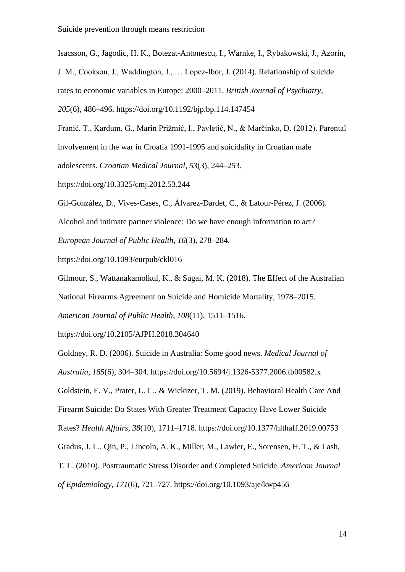Isacsson, G., Jagodic, H. K., Botezat-Antonescu, I., Warnke, I., Rybakowski, J., Azorin,

J. M., Cookson, J., Waddington, J., … Lopez-Ibor, J. (2014). Relationship of suicide

rates to economic variables in Europe: 2000–2011. *British Journal of Psychiatry*,

*205*(6), 486–496. https://doi.org/10.1192/bjp.bp.114.147454

Franić, T., Kardum, G., Marin Prižmić, I., Pavletić, N., & Marčinko, D. (2012). Parental

involvement in the war in Croatia 1991-1995 and suicidality in Croatian male

adolescents. *Croatian Medical Journal*, *53*(3), 244–253.

https://doi.org/10.3325/cmj.2012.53.244

Gil-González, D., Vives-Cases, C., Álvarez-Dardet, C., & Latour-Pérez, J. (2006).

Alcohol and intimate partner violence: Do we have enough information to act?

*European Journal of Public Health*, *16*(3), 278–284.

https://doi.org/10.1093/eurpub/ckl016

Gilmour, S., Wattanakamolkul, K., & Sugai, M. K. (2018). The Effect of the Australian National Firearms Agreement on Suicide and Homicide Mortality, 1978–2015.

*American Journal of Public Health*, *108*(11), 1511–1516.

https://doi.org/10.2105/AJPH.2018.304640

Goldney, R. D. (2006). Suicide in Australia: Some good news. *Medical Journal of Australia*, *185*(6), 304–304. https://doi.org/10.5694/j.1326-5377.2006.tb00582.x Goldstein, E. V., Prater, L. C., & Wickizer, T. M. (2019). Behavioral Health Care And Firearm Suicide: Do States With Greater Treatment Capacity Have Lower Suicide Rates? *Health Affairs*, *38*(10), 1711–1718. https://doi.org/10.1377/hlthaff.2019.00753 Gradus, J. L., Qin, P., Lincoln, A. K., Miller, M., Lawler, E., Sorensen, H. T., & Lash, T. L. (2010). Posttraumatic Stress Disorder and Completed Suicide. *American Journal of Epidemiology*, *171*(6), 721–727. https://doi.org/10.1093/aje/kwp456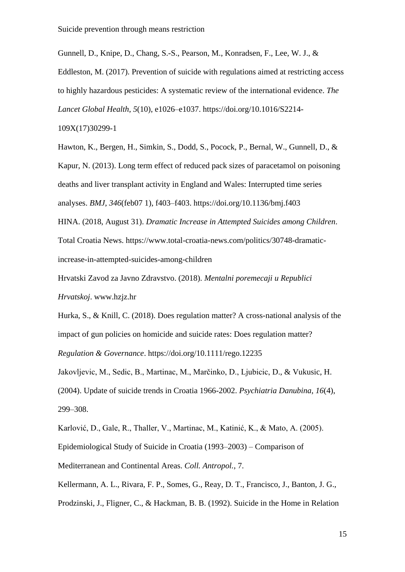Gunnell, D., Knipe, D., Chang, S.-S., Pearson, M., Konradsen, F., Lee, W. J., &

Eddleston, M. (2017). Prevention of suicide with regulations aimed at restricting access to highly hazardous pesticides: A systematic review of the international evidence. *The* 

*Lancet Global Health*, *5*(10), e1026–e1037. https://doi.org/10.1016/S2214-

109X(17)30299-1

Hawton, K., Bergen, H., Simkin, S., Dodd, S., Pocock, P., Bernal, W., Gunnell, D., & Kapur, N. (2013). Long term effect of reduced pack sizes of paracetamol on poisoning deaths and liver transplant activity in England and Wales: Interrupted time series analyses. *BMJ*, *346*(feb07 1), f403–f403. https://doi.org/10.1136/bmj.f403

HINA. (2018, August 31). *Dramatic Increase in Attempted Suicides among Children*. Total Croatia News. https://www.total-croatia-news.com/politics/30748-dramaticincrease-in-attempted-suicides-among-children

Hrvatski Zavod za Javno Zdravstvo. (2018). *Mentalni poremecaji u Republici Hrvatskoj*. www.hzjz.hr

Hurka, S., & Knill, C. (2018). Does regulation matter? A cross-national analysis of the impact of gun policies on homicide and suicide rates: Does regulation matter?

*Regulation & Governance*. https://doi.org/10.1111/rego.12235

Jakovljevic, M., Sedic, B., Martinac, M., Marčinko, D., Ljubicic, D., & Vukusic, H. (2004). Update of suicide trends in Croatia 1966-2002. *Psychiatria Danubina*, *16*(4), 299–308.

Karlović, D., Gale, R., Thaller, V., Martinac, M., Katinić, K., & Mato, A. (2005). Epidemiological Study of Suicide in Croatia (1993–2003) – Comparison of Mediterranean and Continental Areas. *Coll. Antropol.*, 7.

Kellermann, A. L., Rivara, F. P., Somes, G., Reay, D. T., Francisco, J., Banton, J. G.,

Prodzinski, J., Fligner, C., & Hackman, B. B. (1992). Suicide in the Home in Relation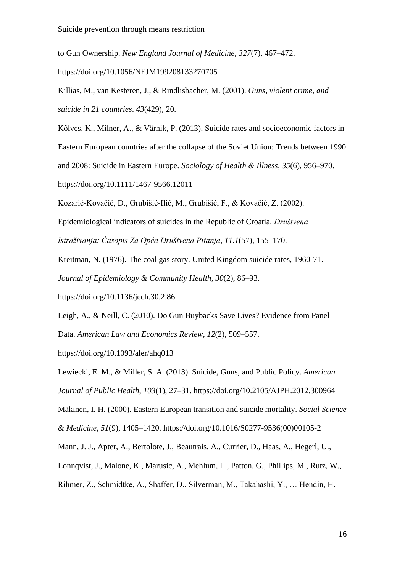to Gun Ownership. *New England Journal of Medicine*, *327*(7), 467–472.

https://doi.org/10.1056/NEJM199208133270705

Killias, M., van Kesteren, J., & Rindlisbacher, M. (2001). *Guns, violent crime, and suicide in 21 countries*. *43*(429), 20.

Kõlves, K., Milner, A., & Värnik, P. (2013). Suicide rates and socioeconomic factors in Eastern European countries after the collapse of the Soviet Union: Trends between 1990 and 2008: Suicide in Eastern Europe. *Sociology of Health & Illness*, *35*(6), 956–970. https://doi.org/10.1111/1467-9566.12011

Kozarić-Kovačić, D., Grubišić-Ilić, M., Grubišić, F., & Kovačić, Z. (2002).

Epidemiological indicators of suicides in the Republic of Croatia. *Društvena* 

*Istraživanja: Časopis Za Opća Društvena Pitanja*, *11.1*(57), 155–170.

Kreitman, N. (1976). The coal gas story. United Kingdom suicide rates, 1960-71.

*Journal of Epidemiology & Community Health*, *30*(2), 86–93.

https://doi.org/10.1136/jech.30.2.86

Leigh, A., & Neill, C. (2010). Do Gun Buybacks Save Lives? Evidence from Panel Data. *American Law and Economics Review*, *12*(2), 509–557.

https://doi.org/10.1093/aler/ahq013

Lewiecki, E. M., & Miller, S. A. (2013). Suicide, Guns, and Public Policy. *American Journal of Public Health*, *103*(1), 27–31. https://doi.org/10.2105/AJPH.2012.300964

Mäkinen, I. H. (2000). Eastern European transition and suicide mortality. *Social Science & Medicine*, *51*(9), 1405–1420. https://doi.org/10.1016/S0277-9536(00)00105-2

Mann, J. J., Apter, A., Bertolote, J., Beautrais, A., Currier, D., Haas, A., Hegerl, U.,

Lonnqvist, J., Malone, K., Marusic, A., Mehlum, L., Patton, G., Phillips, M., Rutz, W.,

Rihmer, Z., Schmidtke, A., Shaffer, D., Silverman, M., Takahashi, Y., … Hendin, H.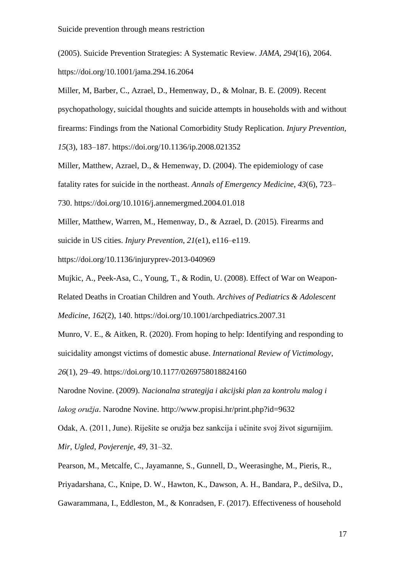(2005). Suicide Prevention Strategies: A Systematic Review. *JAMA*, *294*(16), 2064. https://doi.org/10.1001/jama.294.16.2064

Miller, M, Barber, C., Azrael, D., Hemenway, D., & Molnar, B. E. (2009). Recent psychopathology, suicidal thoughts and suicide attempts in households with and without firearms: Findings from the National Comorbidity Study Replication. *Injury Prevention*, *15*(3), 183–187. https://doi.org/10.1136/ip.2008.021352

Miller, Matthew, Azrael, D., & Hemenway, D. (2004). The epidemiology of case fatality rates for suicide in the northeast. *Annals of Emergency Medicine*, *43*(6), 723– 730. https://doi.org/10.1016/j.annemergmed.2004.01.018

Miller, Matthew, Warren, M., Hemenway, D., & Azrael, D. (2015). Firearms and suicide in US cities. *Injury Prevention*, *21*(e1), e116–e119.

https://doi.org/10.1136/injuryprev-2013-040969

Mujkic, A., Peek-Asa, C., Young, T., & Rodin, U. (2008). Effect of War on Weapon-Related Deaths in Croatian Children and Youth. *Archives of Pediatrics & Adolescent Medicine*, *162*(2), 140. https://doi.org/10.1001/archpediatrics.2007.31

Munro, V. E., & Aitken, R. (2020). From hoping to help: Identifying and responding to suicidality amongst victims of domestic abuse. *International Review of Victimology*, *26*(1), 29–49. https://doi.org/10.1177/0269758018824160

Narodne Novine. (2009). *Nacionalna strategija i akcijski plan za kontrolu malog i lakog oružja*. Narodne Novine. http://www.propisi.hr/print.php?id=9632

Odak, A. (2011, June). Riješite se oružja bez sankcija i učinite svoj život sigurnijim. *Mir, Ugled, Povjerenje*, *49*, 31–32.

Pearson, M., Metcalfe, C., Jayamanne, S., Gunnell, D., Weerasinghe, M., Pieris, R.,

Priyadarshana, C., Knipe, D. W., Hawton, K., Dawson, A. H., Bandara, P., deSilva, D.,

Gawarammana, I., Eddleston, M., & Konradsen, F. (2017). Effectiveness of household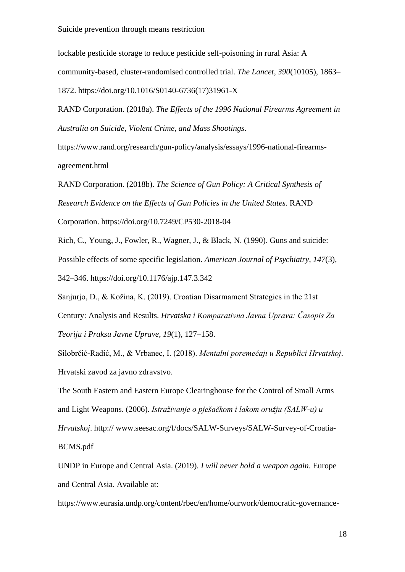#### Suicide prevention through means restriction

lockable pesticide storage to reduce pesticide self-poisoning in rural Asia: A community-based, cluster-randomised controlled trial. *The Lancet*, *390*(10105), 1863– 1872. https://doi.org/10.1016/S0140-6736(17)31961-X

RAND Corporation. (2018a). *The Effects of the 1996 National Firearms Agreement in Australia on Suicide, Violent Crime, and Mass Shootings*.

https://www.rand.org/research/gun-policy/analysis/essays/1996-national-firearmsagreement.html

RAND Corporation. (2018b). *The Science of Gun Policy: A Critical Synthesis of Research Evidence on the Effects of Gun Policies in the United States*. RAND

Corporation. https://doi.org/10.7249/CP530-2018-04

Rich, C., Young, J., Fowler, R., Wagner, J., & Black, N. (1990). Guns and suicide: Possible effects of some specific legislation. *American Journal of Psychiatry*, *147*(3), 342–346. https://doi.org/10.1176/ajp.147.3.342

Sanjurjo, D., & Kožina, K. (2019). Croatian Disarmament Strategies in the 21st Century: Analysis and Results. *Hrvatska i Komparativna Javna Uprava: Časopis Za Teoriju i Praksu Javne Uprave*, *19*(1), 127–158.

Silobrčić-Radić, M., & Vrbanec, I. (2018). *Mentalni poremećaji u Republici Hrvatskoj*. Hrvatski zavod za javno zdravstvo.

The South Eastern and Eastern Europe Clearinghouse for the Control of Small Arms and Light Weapons. (2006). *Istraživanje o pješačkom i lakom oružju (SALW-u) u Hrvatskoj*. http:// www.seesac.org/f/docs/SALW-Surveys/SALW-Survey-of-Croatia-BCMS.pdf

UNDP in Europe and Central Asia. (2019). *I will never hold a weapon again*. Europe and Central Asia. Available at:

https://www.eurasia.undp.org/content/rbec/en/home/ourwork/democratic-governance-